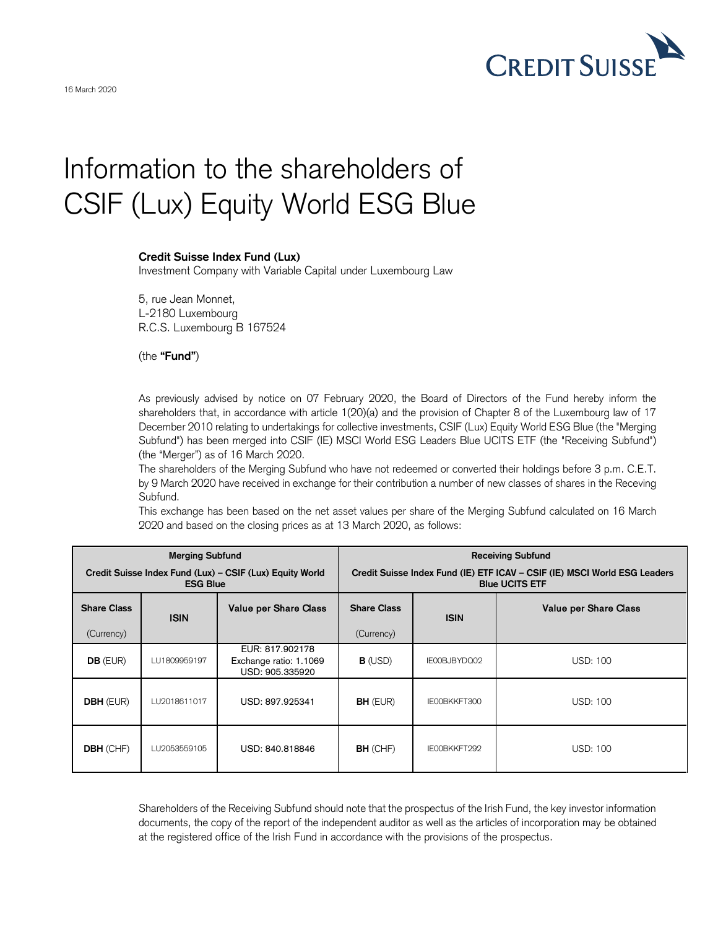

## Information to the shareholders of CSIF (Lux) Equity World ESG Blue

## **Credit Suisse Index Fund (Lux)**

Investment Company with Variable Capital under Luxembourg Law

5, rue Jean Monnet, L-2180 Luxembourg R.C.S. Luxembourg B 167524

(the **"Fund"**)

As previously advised by notice on 07 February 2020, the Board of Directors of the Fund hereby inform the shareholders that, in accordance with article 1(20)(a) and the provision of Chapter 8 of the Luxembourg law of 17 December 2010 relating to undertakings for collective investments, CSIF (Lux) Equity World ESG Blue (the "Merging Subfund") has been merged into CSIF (IE) MSCI World ESG Leaders Blue UCITS ETF (the "Receiving Subfund") (the "Merger") as of 16 March 2020.

The shareholders of the Merging Subfund who have not redeemed or converted their holdings before 3 p.m. C.E.T. by 9 March 2020 have received in exchange for their contribution a number of new classes of shares in the Receving Subfund.

This exchange has been based on the net asset values per share of the Merging Subfund calculated on 16 March 2020 and based on the closing prices as at 13 March 2020, as follows:

| <b>Merging Subfund</b><br>Credit Suisse Index Fund (Lux) - CSIF (Lux) Equity World<br><b>ESG Blue</b> |              |                                                              | <b>Receiving Subfund</b><br>Credit Suisse Index Fund (IE) ETF ICAV - CSIF (IE) MSCI World ESG Leaders<br><b>Blue UCITS ETF</b> |              |                              |
|-------------------------------------------------------------------------------------------------------|--------------|--------------------------------------------------------------|--------------------------------------------------------------------------------------------------------------------------------|--------------|------------------------------|
| <b>Share Class</b><br>(Currency)                                                                      | <b>ISIN</b>  | <b>Value per Share Class</b>                                 | <b>Share Class</b><br>(Currency)                                                                                               | <b>ISIN</b>  | <b>Value per Share Class</b> |
| $DB$ (EUR)                                                                                            | LU1809959197 | EUR: 817.902178<br>Exchange ratio: 1.1069<br>USD: 905.335920 | $B$ (USD)                                                                                                                      | IE00BJBYDQ02 | <b>USD: 100</b>              |
| <b>DBH</b> (EUR)                                                                                      | LU2018611017 | USD: 897.925341                                              | <b>BH</b> (EUR)                                                                                                                | IE00BKKFT300 | <b>USD: 100</b>              |
| <b>DBH</b> (CHF)                                                                                      | LU2053559105 | USD: 840.818846                                              | <b>BH</b> (CHF)                                                                                                                | IE00BKKFT292 | <b>USD: 100</b>              |

Shareholders of the Receiving Subfund should note that the prospectus of the Irish Fund, the key investor information documents, the copy of the report of the independent auditor as well as the articles of incorporation may be obtained at the registered office of the Irish Fund in accordance with the provisions of the prospectus.